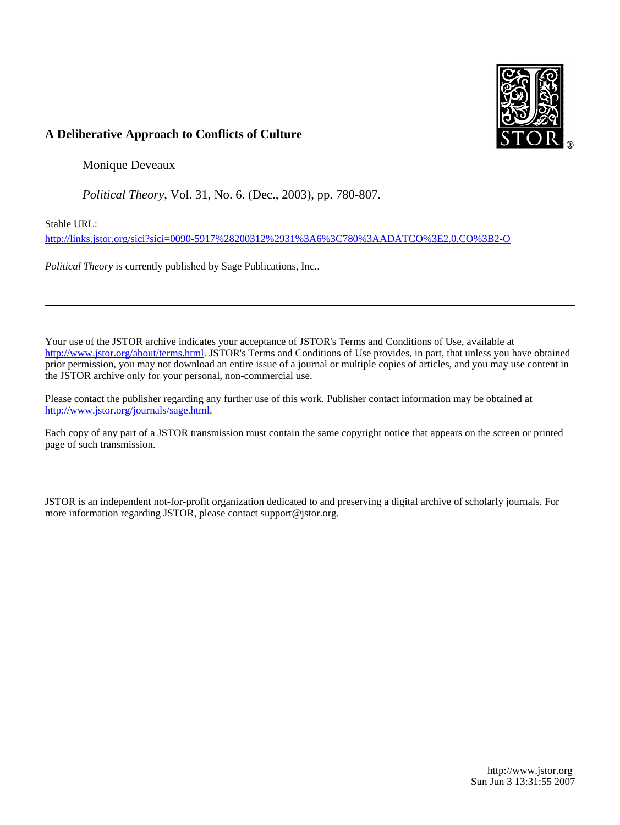

# **A Deliberative Approach to Conflicts of Culture**

Monique Deveaux

*Political Theory*, Vol. 31, No. 6. (Dec., 2003), pp. 780-807.

Stable URL:

<http://links.jstor.org/sici?sici=0090-5917%28200312%2931%3A6%3C780%3AADATCO%3E2.0.CO%3B2-O>

*Political Theory* is currently published by Sage Publications, Inc..

Your use of the JSTOR archive indicates your acceptance of JSTOR's Terms and Conditions of Use, available at [http://www.jstor.org/about/terms.html.](http://www.jstor.org/about/terms.html) JSTOR's Terms and Conditions of Use provides, in part, that unless you have obtained prior permission, you may not download an entire issue of a journal or multiple copies of articles, and you may use content in the JSTOR archive only for your personal, non-commercial use.

Please contact the publisher regarding any further use of this work. Publisher contact information may be obtained at <http://www.jstor.org/journals/sage.html>.

Each copy of any part of a JSTOR transmission must contain the same copyright notice that appears on the screen or printed page of such transmission.

JSTOR is an independent not-for-profit organization dedicated to and preserving a digital archive of scholarly journals. For more information regarding JSTOR, please contact support@jstor.org.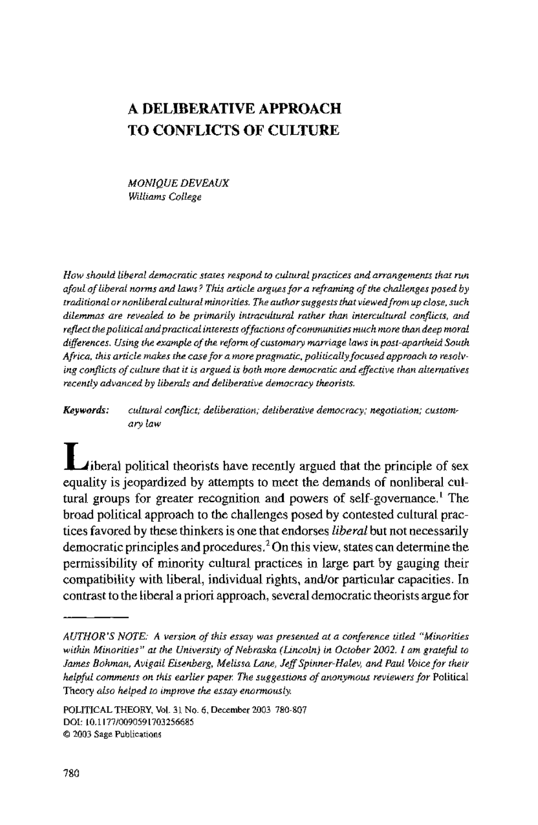# A DELIBERATIVE APPROACH **TO CONFLICTS OF CULTURE**

MONIQUE DEVEAUX Williams College

How should liberal democratic states respond to cultural practices and arrangements that run afoul of liberal norms and laws? This article argues for a reframing of the challenges posed by traditional or nonliberal cultural minorities. The author suggests that viewed from up close, such dilemmas are revealed to be primarily intracultural rather than intercultural conflicts, and reflect the political and practical interests of factions of communities much more than deep moral differences. Using the example of the reform of customary marriage laws in post-apartheid South Africa, this article makes the case for a more pragmatic, politically focused approach to resolving conflicts of culture that it is argued is both more democratic and effective than alternatives recently advanced by liberals and deliberative democracy theorists.

cultural conflict; deliberation; deliberative democracy; negotiation; custom-Keywords: arv law

iberal political theorists have recently argued that the principle of sex equality is jeopardized by attempts to meet the demands of nonliberal cultural groups for greater recognition and powers of self-governance.<sup>1</sup> The broad political approach to the challenges posed by contested cultural practices favored by these thinkers is one that endorses *liberal* but not necessarily democratic principles and procedures.<sup>2</sup> On this view, states can determine the permissibility of minority cultural practices in large part by gauging their compatibility with liberal, individual rights, and/or particular capacities. In contrast to the liberal a priori approach, several democratic theorists argue for

AUTHOR'S NOTE: A version of this essay was presented at a conference titled "Minorities within Minorities" at the University of Nebraska (Lincoln) in October 2002. I am grateful to James Bohman, Avigail Eisenberg, Melissa Lane, Jeff Spinner-Haley, and Paul Voice for their helpful comments on this earlier paper. The suggestions of anonymous reviewers for Political Theory also helped to improve the essay enormously.

POLITICAL THEORY, Vol. 31 No. 6, December 2003 780-807 DOI: 10.1177/0090591703256685 @ 2003 Sage Publications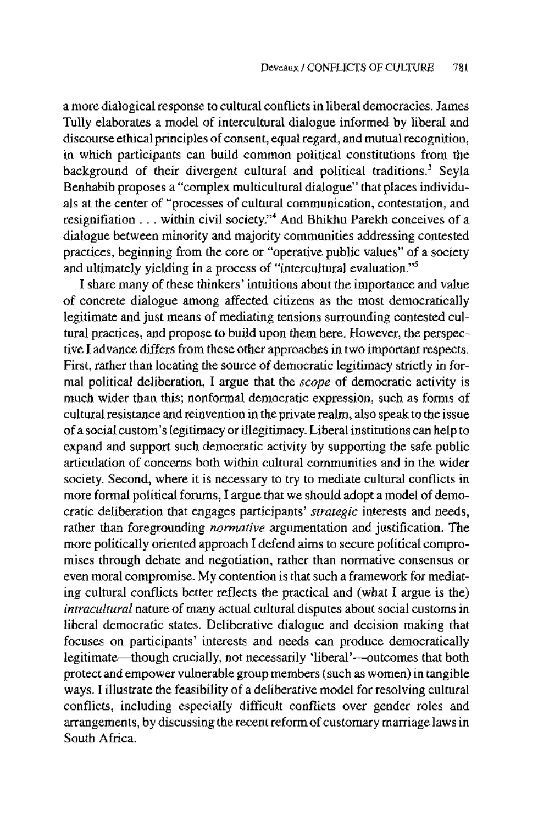a more dialogical response to cultural conflicts in liberal democracies. James Tully elaborates a model of intercultural dialogue informed by liberal and discourse ethical principles of consent, equal regard, and mutual recognition, in which participants can build common political constitutions from the background of their divergent cultural and political traditions.<sup>3</sup> Seyla Benhabib proposes a "complex multicultural dialogue" that places individuals at the center of "processes of cultural communication, contestation, and resignifiation . . . within civil society."<sup>4</sup> And Bhikhu Parekh conceives of a dialogue between minority and majority communities addressing contested practices, beginning from the core or "operative public values" of a society and ultimately yielding in a process of "intercultural evaluation."5

I share many of these thinkers' intuitions about the importance and value of concrete dialogue among affected citizens as the most democratically legitimate and just means of mediating tensions surrounding contested cultural practices, and propose to build upon them here. However, the perspective I advance differs from these other approaches in two important respects. First, rather than locating the source of democratic legitimacy strictly in formal political deliberation. I argue that the *scope* of democratic activity is much wider than this; nonformal democratic expression, such as forms of cultural resistance and reinvention in the private realm, also speak to the issue of a social custom's legitimacy or illegitimacy. Liberal institutions can help to expand and support such democratic activity by supporting the safe public articulation of concerns both within cultural communities and in the wider society. Second, where it is necessary to try to mediate cultural conflicts in more formal political forums, I argue that we should adopt a model of democratic deliberation that engages participants' strategic interests and needs, rather than foregrounding *normative* argumentation and justification. The more politically oriented approach I defend aims to secure political compromises through debate and negotiation, rather than normative consensus or even moral compromise. My contention is that such a framework for mediating cultural conflicts better reflects the practical and (what I argue is the) intracultural nature of many actual cultural disputes about social customs in liberal democratic states. Deliberative dialogue and decision making that focuses on participants' interests and needs can produce democratically legitimate—though crucially, not necessarily 'liberal'—outcomes that both protect and empower vulnerable group members (such as women) in tangible ways. I illustrate the feasibility of a deliberative model for resolving cultural conflicts, including especially difficult conflicts over gender roles and arrangements, by discussing the recent reform of customary marriage laws in South Africa.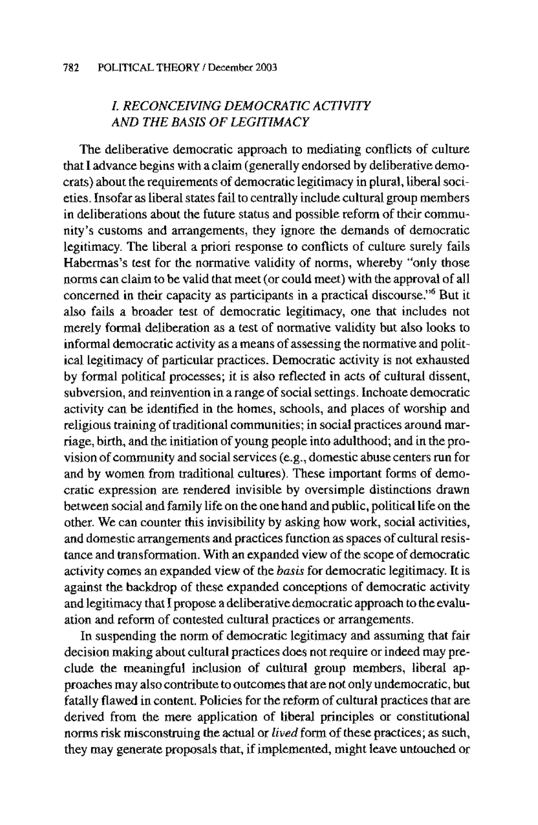## **I. RECONCEIVING DEMOCRATIC ACTIVITY** AND THE BASIS OF LEGITIMACY

The deliberative democratic approach to mediating conflicts of culture that I advance begins with a claim (generally endorsed by deliberative democrats) about the requirements of democratic legitimacy in plural, liberal societies. Insofar as liberal states fail to centrally include cultural group members in deliberations about the future status and possible reform of their community's customs and arrangements, they ignore the demands of democratic legitimacy. The liberal a priori response to conflicts of culture surely fails Habermas's test for the normative validity of norms, whereby "only those norms can claim to be valid that meet (or could meet) with the approval of all concerned in their capacity as participants in a practical discourse."<sup>6</sup> But it also fails a broader test of democratic legitimacy, one that includes not merely formal deliberation as a test of normative validity but also looks to informal democratic activity as a means of assessing the normative and political legitimacy of particular practices. Democratic activity is not exhausted by formal political processes; it is also reflected in acts of cultural dissent, subversion, and reinvention in a range of social settings. Inchoate democratic activity can be identified in the homes, schools, and places of worship and religious training of traditional communities; in social practices around marriage, birth, and the initiation of young people into adulthood; and in the provision of community and social services (e.g., domestic abuse centers run for and by women from traditional cultures). These important forms of democratic expression are rendered invisible by oversimple distinctions drawn between social and family life on the one hand and public, political life on the other. We can counter this invisibility by asking how work, social activities, and domestic arrangements and practices function as spaces of cultural resistance and transformation. With an expanded view of the scope of democratic activity comes an expanded view of the basis for democratic legitimacy. It is against the backdrop of these expanded conceptions of democratic activity and legitimacy that I propose a deliberative democratic approach to the evaluation and reform of contested cultural practices or arrangements.

In suspending the norm of democratic legitimacy and assuming that fair decision making about cultural practices does not require or indeed may preclude the meaningful inclusion of cultural group members, liberal approaches may also contribute to outcomes that are not only undemocratic, but fatally flawed in content. Policies for the reform of cultural practices that are derived from the mere application of liberal principles or constitutional norms risk misconstruing the actual or *lived* form of these practices; as such, they may generate proposals that, if implemented, might leave untouched or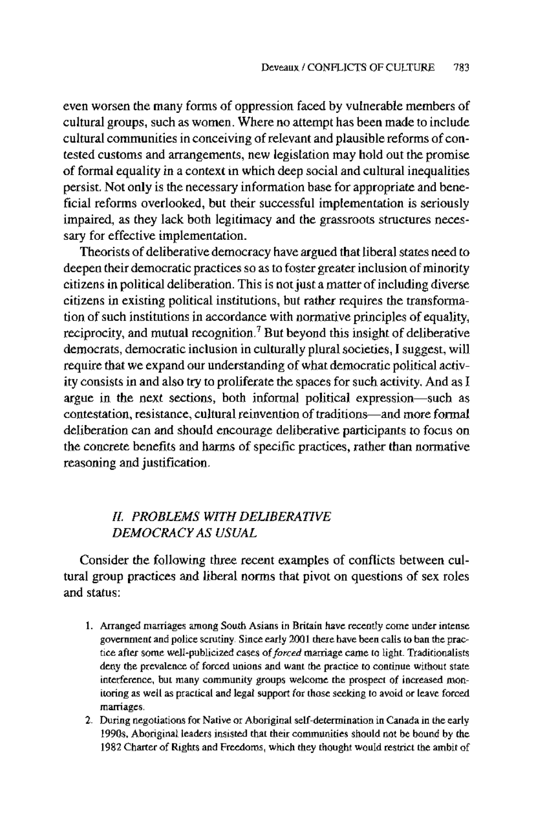even worsen the many forms of oppression faced by vulnerable members of cultural groups, such as women. Where no attempt has been made to include cultural communities in conceiving of relevant and plausible reforms of contested customs and arrangements, new legislation may hold out the promise of formal equality in a context in which deep social and cultural inequalities persist. Not only is the necessary information base for appropriate and beneficial reforms overlooked, but their successful implementation is seriously impaired, as they lack both legitimacy and the grassroots structures necessary for effective implementation.

Theorists of deliberative democracy have argued that liberal states need to deepen their democratic practices so as to foster greater inclusion of minority citizens in political deliberation. This is not just a matter of including diverse citizens in existing political institutions, but rather requires the transformation of such institutions in accordance with normative principles of equality, reciprocity, and mutual recognition.<sup>7</sup> But beyond this insight of deliberative democrats, democratic inclusion in culturally plural societies. I suggest, will require that we expand our understanding of what democratic political activity consists in and also try to proliferate the spaces for such activity. And as I argue in the next sections, both informal political expression-such as contestation, resistance, cultural reinvention of traditions—and more formal deliberation can and should encourage deliberative participants to focus on the concrete benefits and harms of specific practices, rather than normative reasoning and justification.

## **II. PROBLEMS WITH DELIBERATIVE DEMOCRACY AS USUAL**

Consider the following three recent examples of conflicts between cultural group practices and liberal norms that pivot on questions of sex roles and status:

- 1. Arranged marriages among South Asians in Britain have recently come under intense government and police scrutiny. Since early 2001 there have been calls to ban the practice after some well-publicized cases of forced marriage came to light. Traditionalists deny the prevalence of forced unions and want the practice to continue without state interference, but many community groups welcome the prospect of increased monitoring as well as practical and legal support for those seeking to avoid or leave forced marriages.
- 2. During negotiations for Native or Aboriginal self-determination in Canada in the early 1990s, Aboriginal leaders insisted that their communities should not be bound by the 1982 Charter of Rights and Freedoms, which they thought would restrict the ambit of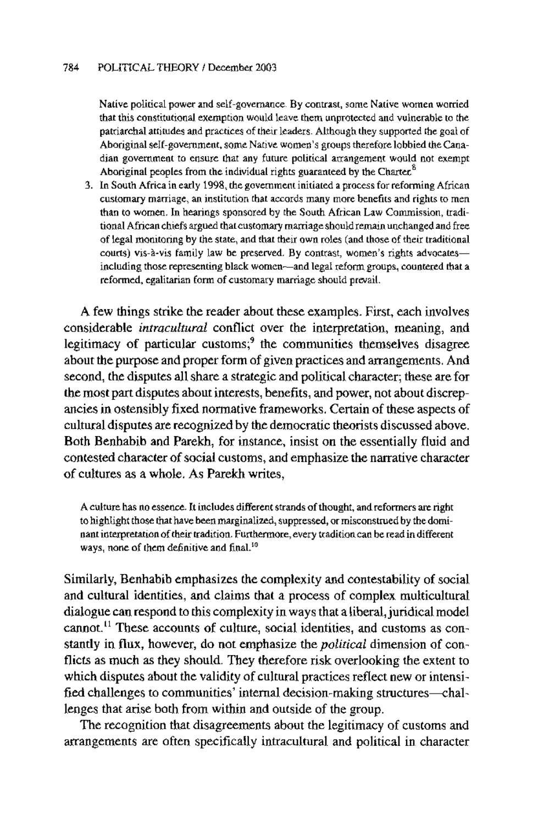#### 784 POLITICAL THEORY / December 2003

Native political power and self-governance. By contrast, some Native women worried that this constitutional exemption would leave them unprotected and vulnerable to the patriarchal attitudes and practices of their leaders. Although they supported the goal of Aboriginal self-government, some Native women's groups therefore lobbied the Canadian government to ensure that any future political arrangement would not exempt Aboriginal peoples from the individual rights guaranteed by the Charter. $^{\circ}$ 

3. In South Africa in early 1998, the government initiated a process for reforming African customary marriage, an institution that accords many more benefits and rights to men than to women. In hearings sponsored by the South African Law Commission, traditional African chiefs argued that customary marriage should remain unchanged and free of legal monitoring by the state, and that their own roles (and those of their traditional courts) vis-à-vis family law be preserved. By contrast, women's rights advocatesincluding those representing black women-and legal reform groups, countered that a reformed, egalitarian form of customary marriage should prevail.

A few things strike the reader about these examples. First, each involves considerable *intracultural* conflict over the interpretation, meaning, and legitimacy of particular customs;<sup>9</sup> the communities themselves disagree about the purpose and proper form of given practices and arrangements. And second, the disputes all share a strategic and political character; these are for the most part disputes about interests, benefits, and power, not about discrepancies in ostensibly fixed normative frameworks. Certain of these aspects of cultural disputes are recognized by the democratic theorists discussed above. Both Benhabib and Parekh, for instance, insist on the essentially fluid and contested character of social customs, and emphasize the narrative character of cultures as a whole. As Parekh writes,

A culture has no essence. It includes different strands of thought, and reformers are right to highlight those that have been marginalized, suppressed, or misconstrued by the dominant interpretation of their tradition. Furthermore, every tradition can be read in different ways, none of them definitive and final.<sup>10</sup>

Similarly, Benhabib emphasizes the complexity and contestability of social and cultural identities, and claims that a process of complex multicultural dialogue can respond to this complexity in ways that a liberal, juridical model cannot.<sup>11</sup> These accounts of culture, social identities, and customs as constantly in flux, however, do not emphasize the *political* dimension of conflicts as much as they should. They therefore risk overlooking the extent to which disputes about the validity of cultural practices reflect new or intensified challenges to communities' internal decision-making structures—challenges that arise both from within and outside of the group.

The recognition that disagreements about the legitimacy of customs and arrangements are often specifically intracultural and political in character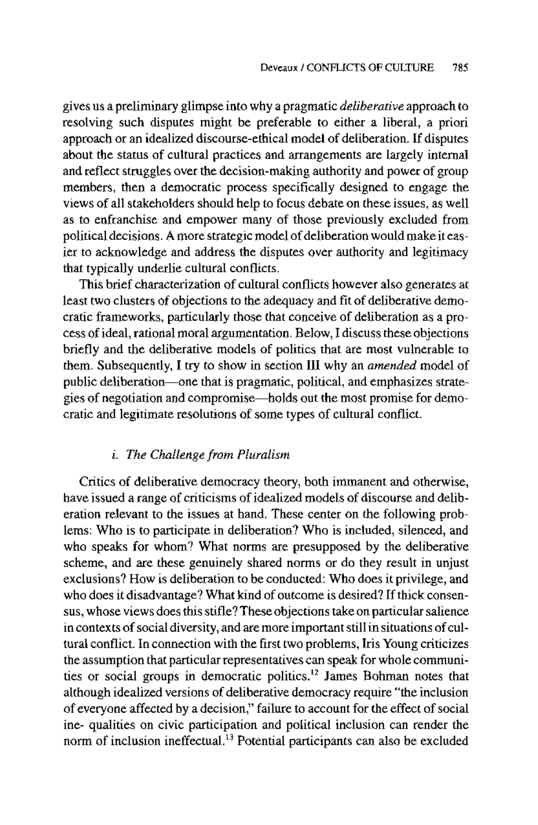gives us a preliminary glimpse into why a pragmatic deliberative approach to resolving such disputes might be preferable to either a liberal, a priori approach or an idealized discourse-ethical model of deliberation. If disputes about the status of cultural practices and arrangements are largely internal and reflect struggles over the decision-making authority and power of group members, then a democratic process specifically designed to engage the views of all stakeholders should help to focus debate on these issues, as well as to enfranchise and empower many of those previously excluded from political decisions. A more strategic model of deliberation would make it easier to acknowledge and address the disputes over authority and legitimacy that typically underlie cultural conflicts.

This brief characterization of cultural conflicts however also generates at least two clusters of objections to the adequacy and fit of deliberative democratic frameworks, particularly those that conceive of deliberation as a process of ideal, rational moral argumentation. Below, I discuss these objections briefly and the deliberative models of politics that are most vulnerable to them. Subsequently, I try to show in section III why an amended model of public deliberation—one that is pragmatic, political, and emphasizes strategies of negotiation and compromise—holds out the most promise for democratic and legitimate resolutions of some types of cultural conflict.

#### i. The Challenge from Pluralism

Critics of deliberative democracy theory, both immanent and otherwise, have issued a range of criticisms of idealized models of discourse and deliberation relevant to the issues at hand. These center on the following problems: Who is to participate in deliberation? Who is included, silenced, and who speaks for whom? What norms are presupposed by the deliberative scheme, and are these genuinely shared norms or do they result in unjust exclusions? How is deliberation to be conducted: Who does it privilege, and who does it disadvantage? What kind of outcome is desired? If thick consensus, whose views does this stifle? These objections take on particular salience in contexts of social diversity, and are more important still in situations of cultural conflict. In connection with the first two problems, Iris Young criticizes the assumption that particular representatives can speak for whole communities or social groups in democratic politics.<sup>12</sup> James Bohman notes that although idealized versions of deliberative democracy require "the inclusion of everyone affected by a decision," failure to account for the effect of social ine- qualities on civic participation and political inclusion can render the norm of inclusion ineffectual.<sup>13</sup> Potential participants can also be excluded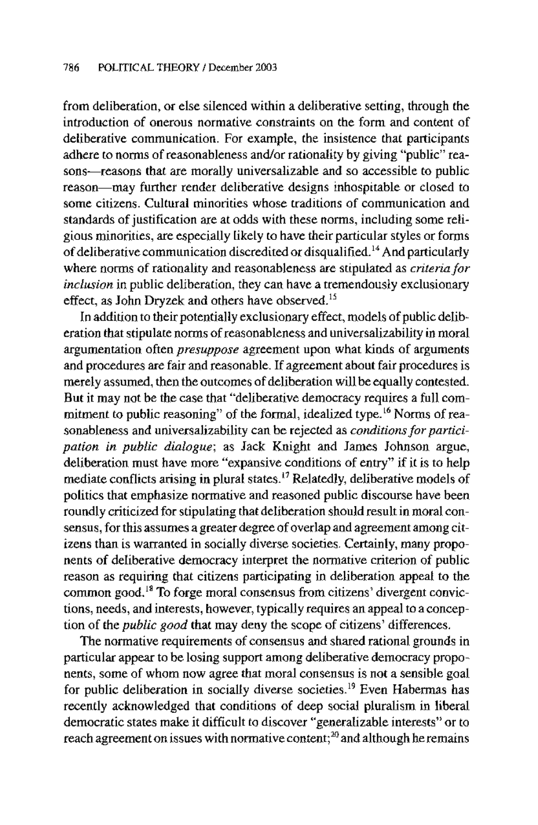from deliberation, or else silenced within a deliberative setting, through the introduction of onerous normative constraints on the form and content of deliberative communication. For example, the insistence that participants adhere to norms of reasonableness and/or rationality by giving "public" reasons-reasons that are morally universalizable and so accessible to public reason—may further render deliberative designs inhospitable or closed to some citizens. Cultural minorities whose traditions of communication and standards of justification are at odds with these norms, including some religious minorities, are especially likely to have their particular styles or forms of deliberative communication discredited or disqualified.<sup>14</sup> And particularly where norms of rationality and reasonableness are stipulated as *criteria for* inclusion in public deliberation, they can have a tremendously exclusionary effect, as John Dryzek and others have observed.<sup>15</sup>

In addition to their potentially exclusionary effect, models of public deliberation that stipulate norms of reasonableness and universalizability in moral argumentation often *presuppose* agreement upon what kinds of arguments and procedures are fair and reasonable. If agreement about fair procedures is merely assumed, then the outcomes of deliberation will be equally contested. But it may not be the case that "deliberative democracy requires a full commitment to public reasoning" of the formal, idealized type.<sup>16</sup> Norms of reasonableness and universalizability can be rejected as conditions for participation in public dialogue; as Jack Knight and James Johnson argue, deliberation must have more "expansive conditions of entry" if it is to help mediate conflicts arising in plural states.<sup>17</sup> Relatedly, deliberative models of politics that emphasize normative and reasoned public discourse have been roundly criticized for stipulating that deliberation should result in moral consensus, for this assumes a greater degree of overlap and agreement among citizens than is warranted in socially diverse societies. Certainly, many proponents of deliberative democracy interpret the normative criterion of public reason as requiring that citizens participating in deliberation appeal to the common good.<sup>18</sup> To forge moral consensus from citizens' divergent convictions, needs, and interests, however, typically requires an appeal to a conception of the *public good* that may deny the scope of citizens' differences.

The normative requirements of consensus and shared rational grounds in particular appear to be losing support among deliberative democracy proponents, some of whom now agree that moral consensus is not a sensible goal for public deliberation in socially diverse societies.<sup>19</sup> Even Habermas has recently acknowledged that conditions of deep social pluralism in liberal democratic states make it difficult to discover "generalizable interests" or to reach agreement on issues with normative content;<sup>20</sup> and although he remains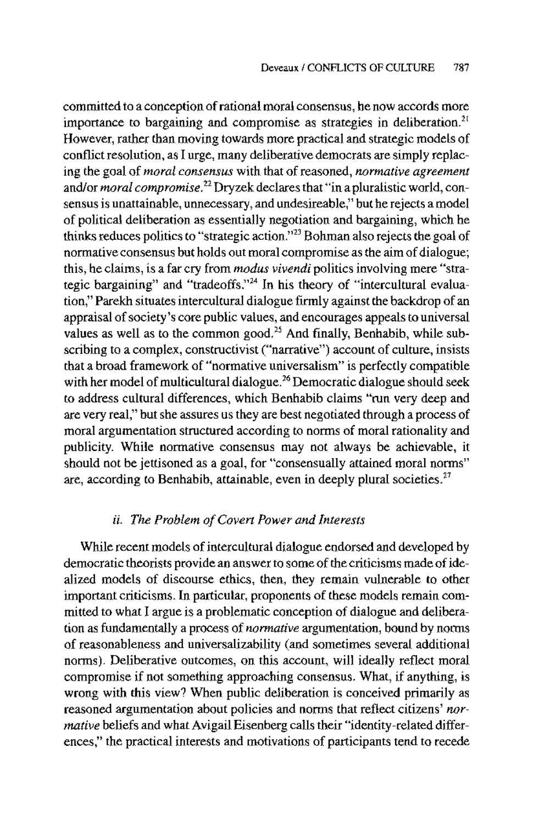committed to a conception of rational moral consensus, he now accords more importance to bargaining and compromise as strategies in deliberation.<sup>21</sup> However, rather than moving towards more practical and strategic models of conflict resolution, as I urge, many deliberative democrats are simply replacing the goal of moral consensus with that of reasoned, normative agreement and/or moral compromise.<sup>22</sup> Dryzek declares that "in a pluralistic world, consensus is unattainable, unnecessary, and undesireable," but he rejects a model of political deliberation as essentially negotiation and bargaining, which he thinks reduces politics to "strategic action."<sup>22</sup> Bohman also rejects the goal of normative consensus but holds out moral compromise as the aim of dialogue; this, he claims, is a far cry from *modus vivendi* politics involving mere "strategic bargaining" and "tradeoffs,"<sup>24</sup> In his theory of "intercultural evaluation," Parekh situates intercultural dialogue firmly against the backdrop of an appraisal of society's core public values, and encourages appeals to universal values as well as to the common good.<sup>25</sup> And finally, Benhabib, while subscribing to a complex, constructivist ("narrative") account of culture, insists that a broad framework of "normative universalism" is perfectly compatible with her model of multicultural dialogue.<sup>26</sup> Democratic dialogue should seek to address cultural differences, which Benhabib claims "run very deep and are very real," but she assures us they are best negotiated through a process of moral argumentation structured according to norms of moral rationality and publicity. While normative consensus may not always be achievable, it should not be jettisoned as a goal, for "consensually attained moral norms" are, according to Benhabib, attainable, even in deeply plural societies. $2^7$ 

### ii. The Problem of Covert Power and Interests

While recent models of intercultural dialogue endorsed and developed by democratic theorists provide an answer to some of the criticisms made of idealized models of discourse ethics, then, they remain vulnerable to other important criticisms. In particular, proponents of these models remain committed to what I argue is a problematic conception of dialogue and deliberation as fundamentally a process of *normative* argumentation, bound by norms of reasonableness and universalizability (and sometimes several additional norms). Deliberative outcomes, on this account, will ideally reflect moral compromise if not something approaching consensus. What, if anything, is wrong with this view? When public deliberation is conceived primarily as reasoned argumentation about policies and norms that reflect citizens' normative beliefs and what Avigail Eisenberg calls their "identity-related differences," the practical interests and motivations of participants tend to recede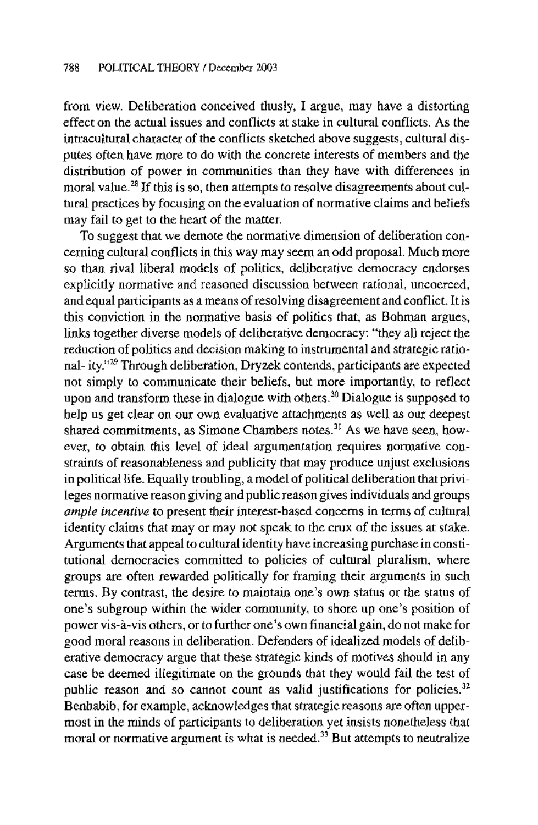from view. Deliberation conceived thusly, I argue, may have a distorting effect on the actual issues and conflicts at stake in cultural conflicts. As the intracultural character of the conflicts sketched above suggests, cultural disputes often have more to do with the concrete interests of members and the distribution of power in communities than they have with differences in moral value.<sup>28</sup> If this is so, then attempts to resolve disagreements about cultural practices by focusing on the evaluation of normative claims and beliefs may fail to get to the heart of the matter.

To suggest that we demote the normative dimension of deliberation concerning cultural conflicts in this way may seem an odd proposal. Much more so than rival liberal models of politics, deliberative democracy endorses explicitly normative and reasoned discussion between rational, uncoerced, and equal participants as a means of resolving disagreement and conflict. It is this conviction in the normative basis of politics that, as Bohman argues, links together diverse models of deliberative democracy: "they all reject the reduction of politics and decision making to instrumental and strategic rational-ity.<sup>129</sup> Through deliberation. Dryzek contends, participants are expected not simply to communicate their beliefs, but more importantly, to reflect upon and transform these in dialogue with others.<sup>30</sup> Dialogue is supposed to help us get clear on our own evaluative attachments as well as our deepest shared commitments, as Simone Chambers notes.<sup>31</sup> As we have seen, however, to obtain this level of ideal argumentation requires normative constraints of reasonableness and publicity that may produce unjust exclusions in political life. Equally troubling, a model of political deliberation that privileges normative reason giving and public reason gives individuals and groups *ample incentive* to present their interest-based concerns in terms of cultural identity claims that may or may not speak to the crux of the issues at stake. Arguments that appeal to cultural identity have increasing purchase in constitutional democracies committed to policies of cultural pluralism, where groups are often rewarded politically for framing their arguments in such terms. By contrast, the desire to maintain one's own status or the status of one's subgroup within the wider community, to shore up one's position of nower vis-à-vis others, or to further one's own financial gain, do not make for good moral reasons in deliberation. Defenders of idealized models of deliberative democracy argue that these strategic kinds of motives should in any case be deemed illegitimate on the grounds that they would fail the test of public reason and so cannot count as valid justifications for policies. $32$ Benhabib, for example, acknowledges that strategic reasons are often uppermost in the minds of participants to deliberation yet insists nonetheless that moral or normative argument is what is needed.<sup>33</sup> But attempts to neutralize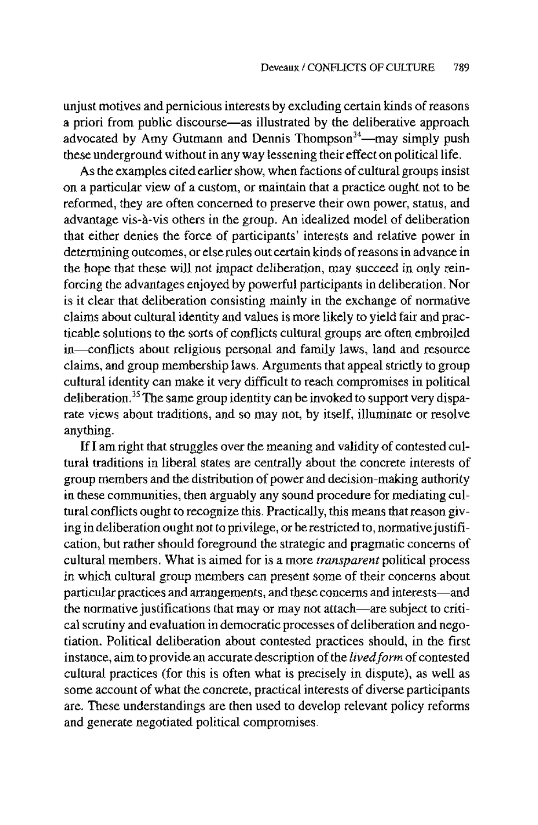unjust motives and permicious interests by excluding certain kinds of reasons a priori from public discourse—as illustrated by the deliberative approach advocated by Amy Gutmann and Dennis Thompson<sup>34</sup>—may simply push these underground without in any way lessening their effect on political life.

As the examples cited earlier show, when factions of cultural groups insist on a particular view of a custom, or maintain that a practice ought not to be reformed, they are often concerned to preserve their own power, status, and advantage vis-à-vis others in the group. An idealized model of deliberation that either denies the force of participants' interests and relative power in determining outcomes, or else rules out certain kinds of reasons in advance in the hope that these will not impact deliberation, may succeed in only reinforcing the advantages enjoyed by powerful participants in deliberation. Nor is it clear that deliberation consisting mainly in the exchange of normative claims about cultural identity and values is more likely to vield fair and practicable solutions to the sorts of conflicts cultural groups are often embroiled in—conflicts about religious personal and family laws, land and resource claims, and group membership laws. Arguments that appeal strictly to group cultural identity can make it very difficult to reach compromises in political deliberation.<sup>35</sup> The same group identity can be invoked to support very disparate views about traditions, and so may not, by itself, illuminate or resolve anything.

If I am right that struggles over the meaning and validity of contested cultural traditions in liberal states are centrally about the concrete interests of group members and the distribution of power and decision-making authority in these communities, then arguably any sound procedure for mediating cultural conflicts ought to recognize this. Practically, this means that reason giving in deliberation ought not to privilege, or be restricted to, normative justification, but rather should foreground the strategic and pragmatic concerns of cultural members. What is aimed for is a more *transparent* political process in which cultural group members can present some of their concerns about particular practices and arrangements, and these concerns and interests—and the normative justifications that may or may not attach—are subject to critical scrutiny and evaluation in democratic processes of deliberation and negotiation. Political deliberation about contested practices should, in the first instance, aim to provide an accurate description of the lived form of contested cultural practices (for this is often what is precisely in dispute), as well as some account of what the concrete, practical interests of diverse participants are. These understandings are then used to develop relevant policy reforms and generate negotiated political compromises.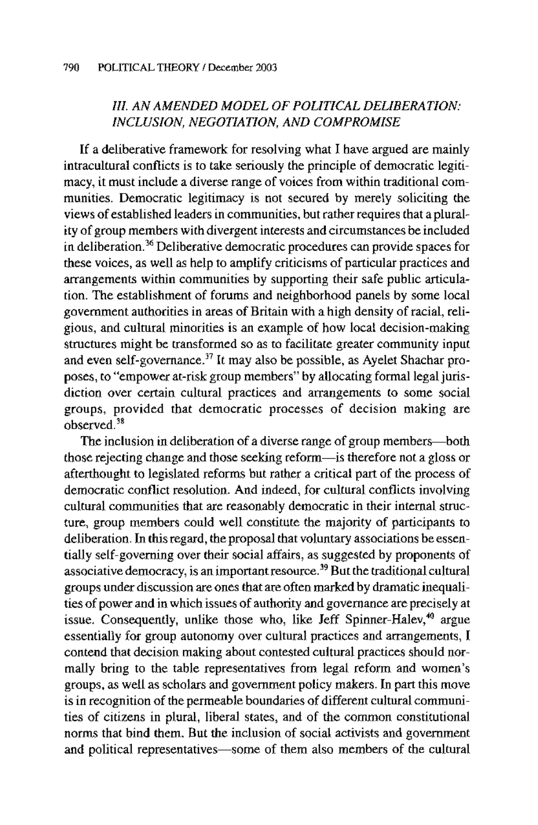## III. AN AMENDED MODEL OF POLITICAL DELIBERATION: INCLUSION, NEGOTIATION, AND COMPROMISE

If a deliberative framework for resolving what I have argued are mainly intracultural conflicts is to take seriously the principle of democratic legitimacy, it must include a diverse range of voices from within traditional communities. Democratic legitimacy is not secured by merely soliciting the views of established leaders in communities, but rather requires that a plurality of group members with divergent interests and circumstances be included in deliberation.<sup>36</sup> Deliberative democratic procedures can provide spaces for these voices, as well as help to amplify criticisms of particular practices and arrangements within communities by supporting their safe public articulation. The establishment of forums and neighborhood panels by some local government authorities in areas of Britain with a high density of racial, religious, and cultural minorities is an example of how local decision-making structures might be transformed so as to facilitate greater community input and even self-governance.<sup>37</sup> It may also be possible, as Ayelet Shachar proposes, to "empower at-risk group members" by allocating formal legal jurisdiction over certain cultural practices and arrangements to some social groups, provided that democratic processes of decision making are observed.<sup>38</sup>

The inclusion in deliberation of a diverse range of group members—both those rejecting change and those seeking reform—is therefore not a gloss or afterthought to legislated reforms but rather a critical part of the process of democratic conflict resolution. And indeed, for cultural conflicts involving cultural communities that are reasonably democratic in their internal structure, group members could well constitute the majority of participants to deliberation. In this regard, the proposal that voluntary associations be essentially self-governing over their social affairs, as suggested by proponents of associative democracy, is an important resource.<sup>39</sup> But the traditional cultural groups under discussion are ones that are often marked by dramatic inequalities of power and in which issues of authority and governance are precisely at issue. Consequently, unlike those who, like Jeff Spinner-Halev,<sup>40</sup> argue essentially for group autonomy over cultural practices and arrangements, I contend that decision making about contested cultural practices should normally bring to the table representatives from legal reform and women's groups, as well as scholars and government policy makers. In part this move is in recognition of the permeable boundaries of different cultural communities of citizens in plural, liberal states, and of the common constitutional norms that bind them. But the inclusion of social activists and government and political representatives—some of them also members of the cultural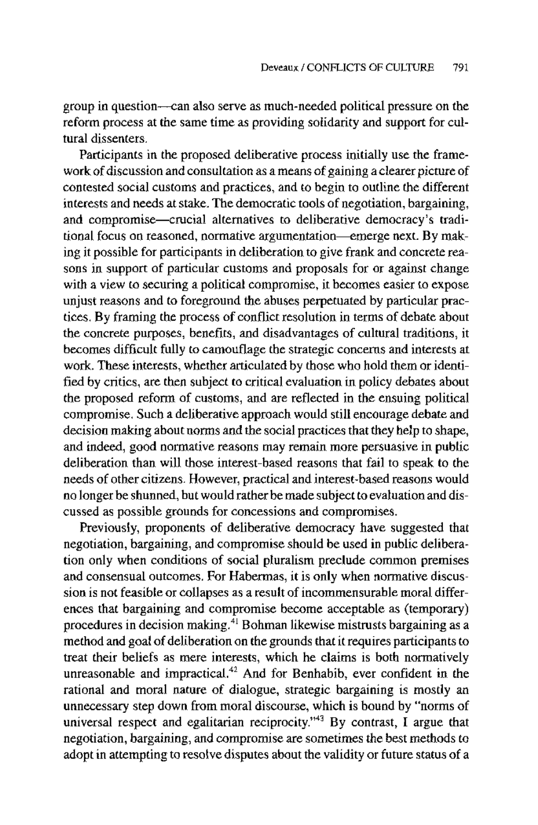group in question—can also serve as much-needed political pressure on the reform process at the same time as providing solidarity and support for cultural dissenters.

Participants in the proposed deliberative process initially use the framework of discussion and consultation as a means of gaining a clearer picture of contested social customs and practices, and to begin to outline the different interests and needs at stake. The democratic tools of negotiation, bargaining, and compromise-crucial alternatives to deliberative democracy's traditional focus on reasoned, normative argumentation—emerge next. By making it possible for participants in deliberation to give frank and concrete reasons in support of particular customs and proposals for or against change with a view to securing a political compromise, it becomes easier to expose unjust reasons and to foreground the abuses perpetuated by particular practices. By framing the process of conflict resolution in terms of debate about the concrete purposes, benefits, and disadvantages of cultural traditions, it becomes difficult fully to camouflage the strategic concerns and interests at work. These interests, whether articulated by those who hold them or identified by critics, are then subject to critical evaluation in policy debates about the proposed reform of customs, and are reflected in the ensuing political compromise. Such a deliberative approach would still encourage debate and decision making about norms and the social practices that they help to shape, and indeed, good normative reasons may remain more persuasive in public deliberation than will those interest-based reasons that fail to speak to the needs of other citizens. However, practical and interest-based reasons would no longer be shunned, but would rather be made subject to evaluation and discussed as possible grounds for concessions and compromises.

Previously, proponents of deliberative democracy have suggested that negotiation, bargaining, and compromise should be used in public deliberation only when conditions of social pluralism preclude common premises and consensual outcomes. For Habermas, it is only when normative discussion is not feasible or collapses as a result of incommensurable moral differences that bargaining and compromise become acceptable as (temporary) procedures in decision making.<sup>41</sup> Bohman likewise mistrusts bargaining as a method and goal of deliberation on the grounds that it requires participants to treat their beliefs as mere interests, which he claims is both normatively unreasonable and impractical.<sup>42</sup> And for Benhabib, ever confident in the rational and moral nature of dialogue, strategic bargaining is mostly an unnecessary step down from moral discourse, which is bound by "norms of universal respect and egalitarian reciprocity."43 By contrast, I argue that negotiation, bargaining, and compromise are sometimes the best methods to adopt in attempting to resolve disputes about the validity or future status of a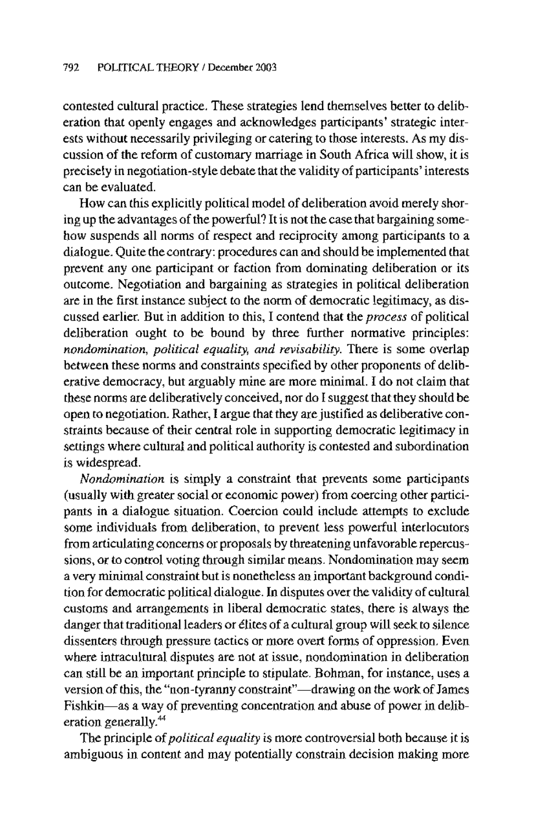contested cultural practice. These strategies lend themselves better to deliberation that openly engages and acknowledges participants' strategic interests without necessarily privileging or catering to those interests. As my discussion of the reform of customary marriage in South Africa will show, it is precisely in negotiation-style debate that the validity of participants' interests can be evaluated.

How can this explicitly political model of deliberation avoid merely shoring up the advantages of the powerful? It is not the case that bargaining somehow suspends all norms of respect and reciprocity among participants to a dialogue. Quite the contrary: procedures can and should be implemented that prevent any one participant or faction from dominating deliberation or its outcome. Negotiation and bargaining as strategies in political deliberation are in the first instance subject to the norm of democratic legitimacy, as discussed earlier. But in addition to this, I contend that the *process* of political deliberation ought to be bound by three further normative principles: nondomination, political equality, and revisability. There is some overlap between these norms and constraints specified by other proponents of deliberative democracy, but arguably mine are more minimal. I do not claim that these norms are deliberatively conceived, nor do I suggest that they should be open to negotiation. Rather, I argue that they are justified as deliberative constraints because of their central role in supporting democratic legitimacy in settings where cultural and political authority is contested and subordination is widespread.

Nondomination is simply a constraint that prevents some participants (usually with greater social or economic power) from coercing other participants in a dialogue situation. Coercion could include attempts to exclude some individuals from deliberation, to prevent less powerful interlocutors from articulating concerns or proposals by threatening unfavorable repercussions, or to control voting through similar means. Nondomination may seem a very minimal constraint but is nonetheless an important background condition for democratic political dialogue. In disputes over the validity of cultural customs and arrangements in liberal democratic states, there is always the danger that traditional leaders or effites of a cultural group will seek to silence dissenters through pressure tactics or more overt forms of oppression. Even where intracultural disputes are not at issue, nondomination in deliberation can still be an important principle to stipulate. Bohman, for instance, uses a version of this, the "non-tyranny constraint"—drawing on the work of James Fishkin—as a way of preventing concentration and abuse of power in deliberation generally.<sup>44</sup>

The principle of *political equality* is more controversial both because it is ambiguous in content and may potentially constrain decision making more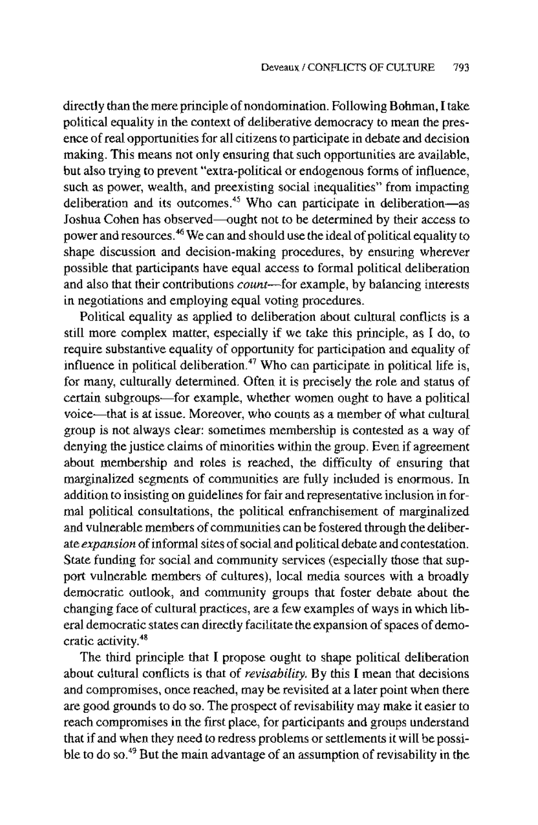directly than the mere principle of nondomination. Following Bohman, I take political equality in the context of deliberative democracy to mean the presence of real opportunities for all citizens to participate in debate and decision making. This means not only ensuring that such opportunities are available. but also trying to prevent "extra-political or endogenous forms of influence, such as power, wealth, and preexisting social inequalities" from impacting deliberation and its outcomes.<sup>45</sup> Who can participate in deliberation-as Joshua Cohen has observed—ought not to be determined by their access to power and resources.<sup>46</sup> We can and should use the ideal of political equality to shape discussion and decision-making procedures, by ensuring wherever possible that participants have equal access to formal political deliberation and also that their contributions count—for example, by balancing interests in negotiations and employing equal voting procedures.

Political equality as applied to deliberation about cultural conflicts is a still more complex matter, especially if we take this principle, as I do, to require substantive equality of opportunity for participation and equality of influence in political deliberation.<sup>47</sup> Who can participate in political life is. for many, culturally determined. Often it is precisely the role and status of certain subgroups-for example, whether women ought to have a political voice—that is at issue. Moreover, who counts as a member of what cultural group is not always clear: sometimes membership is contested as a way of denying the justice claims of minorities within the group. Even if agreement about membership and roles is reached, the difficulty of ensuring that marginalized segments of communities are fully included is enormous. In addition to insisting on guidelines for fair and representative inclusion in formal political consultations, the political enfranchisement of marginalized and vulnerable members of communities can be fostered through the deliberate expansion of informal sites of social and political debate and contestation. State funding for social and community services (especially those that support vulnerable members of cultures), local media sources with a broadly democratic outlook, and community groups that foster debate about the changing face of cultural practices, are a few examples of ways in which liberal democratic states can directly facilitate the expansion of spaces of democratic activity.<sup>48</sup>

The third principle that I propose ought to shape political deliberation about cultural conflicts is that of revisability. By this I mean that decisions and compromises, once reached, may be revisited at a later point when there are good grounds to do so. The prospect of revisability may make it easier to reach compromises in the first place, for participants and groups understand that if and when they need to redress problems or settlements it will be possible to do so.<sup>49</sup> But the main advantage of an assumption of revisability in the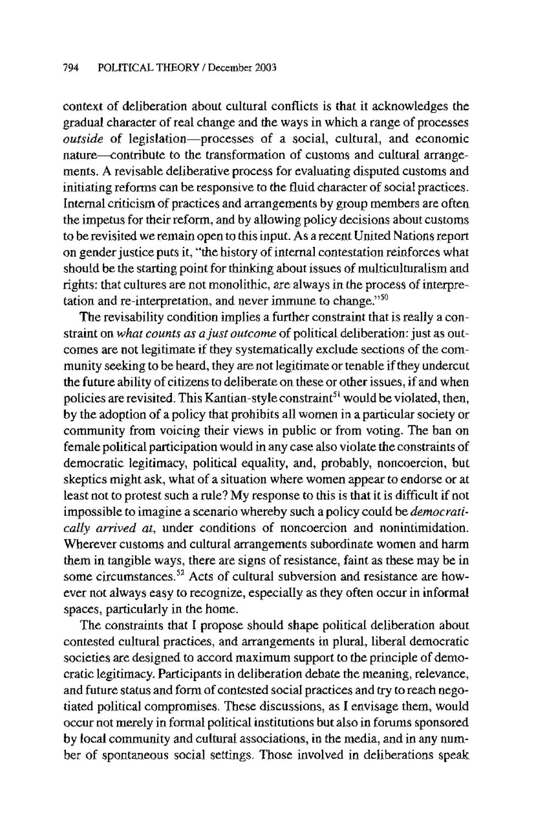context of deliberation about cultural conflicts is that it acknowledges the gradual character of real change and the ways in which a range of processes *outside* of legislation—processes of a social, cultural, and economic nature—contribute to the transformation of customs and cultural arrangements. A revisable deliberative process for evaluating disputed customs and initiating reforms can be responsive to the fluid character of social practices. Internal criticism of practices and arrangements by group members are often the impetus for their reform, and by allowing policy decisions about customs to be revisited we remain open to this input. As a recent United Nations report on gender justice puts it, "the history of internal contestation reinforces what should be the starting point for thinking about issues of multiculturalism and rights: that cultures are not monolithic, are always in the process of interpretation and re-interpretation, and never immune to change."50

The revisability condition implies a further constraint that is really a constraint on what counts as a just outcome of political deliberation: just as outcomes are not legitimate if they systematically exclude sections of the community seeking to be heard, they are not legitimate or tenable if they undercut the future ability of citizens to deliberate on these or other issues, if and when policies are revisited. This Kantian-style constraint<sup>51</sup> would be violated, then, by the adoption of a policy that prohibits all women in a particular society or community from voicing their views in public or from voting. The ban on female political participation would in any case also violate the constraints of democratic legitimacy, political equality, and, probably, noncoercion, but skeptics might ask, what of a situation where women appear to endorse or at least not to protest such a rule? My response to this is that it is difficult if not impossible to imagine a scenario whereby such a policy could be *democrati*cally arrived at, under conditions of noncoercion and nonintimidation. Wherever customs and cultural arrangements subordinate women and harm them in tangible ways, there are signs of resistance, faint as these may be in some circumstances.<sup>52</sup> Acts of cultural subversion and resistance are however not always easy to recognize, especially as they often occur in informal spaces, particularly in the home.

The constraints that I propose should shape political deliberation about contested cultural practices, and arrangements in plural, liberal democratic societies are designed to accord maximum support to the principle of democratic legitimacy. Participants in deliberation debate the meaning, relevance, and future status and form of contested social practices and try to reach negotiated political compromises. These discussions, as I envisage them, would occur not merely in formal political institutions but also in forums sponsored by local community and cultural associations, in the media, and in any number of spontaneous social settings. Those involved in deliberations speak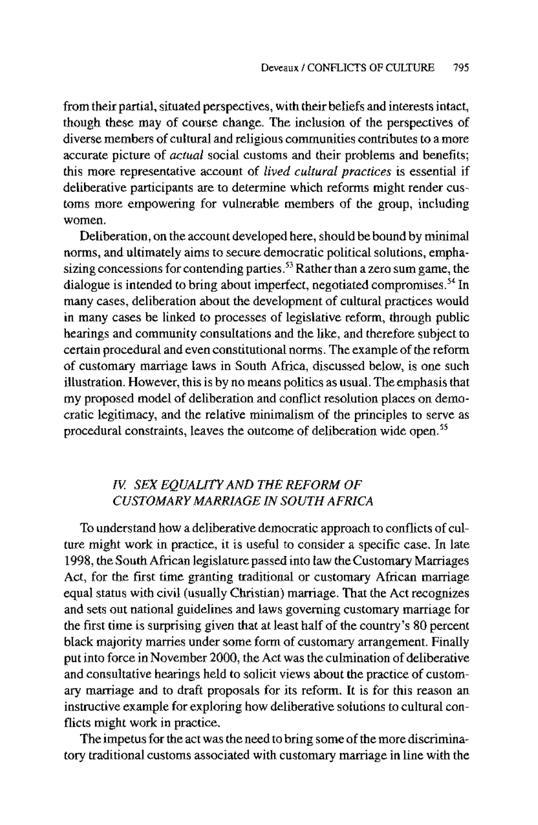from their partial, situated perspectives, with their beliefs and interests intact. though these may of course change. The inclusion of the perspectives of diverse members of cultural and religious communities contributes to a more accurate picture of *actual* social customs and their problems and benefits; this more representative account of lived cultural practices is essential if deliberative participants are to determine which reforms might render customs more empowering for vulnerable members of the group, including women.

Deliberation, on the account developed here, should be bound by minimal norms, and ultimately aims to secure democratic political solutions, emphasizing concessions for contending parties.<sup>53</sup> Rather than a zero sum game, the dialogue is intended to bring about imperfect, negotiated compromises.<sup>54</sup> In many cases, deliberation about the development of cultural practices would in many cases be linked to processes of legislative reform, through public hearings and community consultations and the like, and therefore subject to certain procedural and even constitutional norms. The example of the reform of customary marriage laws in South Africa, discussed below, is one such illustration. However, this is by no means politics as usual. The emphasis that my proposed model of deliberation and conflict resolution places on democratic legitimacy, and the relative minimalism of the principles to serve as procedural constraints, leaves the outcome of deliberation wide open.<sup>55</sup>

## IV. SEX EOUALITY AND THE REFORM OF CUSTOMARY MARRIAGE IN SOUTH AFRICA

To understand how a deliberative democratic approach to conflicts of culture might work in practice, it is useful to consider a specific case. In late 1998, the South African legislature passed into law the Customary Marriages Act, for the first time granting traditional or customary African marriage equal status with civil (usually Christian) marriage. That the Act recognizes and sets out national guidelines and laws governing customary marriage for the first time is surprising given that at least half of the country's 80 percent black majority marries under some form of customary arrangement. Finally put into force in November 2000, the Act was the culmination of deliberative and consultative hearings held to solicit views about the practice of customary marriage and to draft proposals for its reform. It is for this reason an instructive example for exploring how deliberative solutions to cultural conflicts might work in practice.

The impetus for the act was the need to bring some of the more discriminatory traditional customs associated with customary marriage in line with the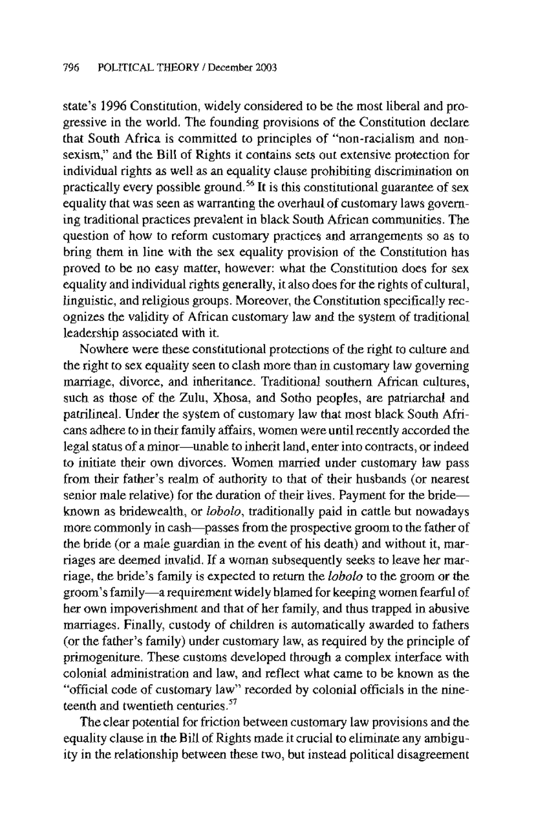state's 1996 Constitution, widely considered to be the most liberal and progressive in the world. The founding provisions of the Constitution declare that South Africa is committed to principles of "non-racialism and nonsexism," and the Bill of Rights it contains sets out extensive protection for individual rights as well as an equality clause prohibiting discrimination on practically every possible ground.<sup>56</sup> It is this constitutional guarantee of sex equality that was seen as warranting the overhaul of customary laws governing traditional practices prevalent in black South African communities. The question of how to reform customary practices and arrangements so as to bring them in line with the sex equality provision of the Constitution has proved to be no easy matter, however: what the Constitution does for sex equality and individual rights generally, it also does for the rights of cultural. linguistic, and religious groups. Moreover, the Constitution specifically recognizes the validity of African customary law and the system of traditional leadership associated with it.

Nowhere were these constitutional protections of the right to culture and the right to sex equality seen to clash more than in customary law governing marriage, divorce, and inheritance. Traditional southern African cultures, such as those of the Zulu, Xhosa, and Sotho peoples, are patriarchal and patrilineal. Under the system of customary law that most black South Africans adhere to in their family affairs, women were until recently accorded the legal status of a minor—unable to inherit land, enter into contracts, or indeed to initiate their own divorces. Women married under customary law pass from their father's realm of authority to that of their husbands (or nearest senior male relative) for the duration of their lives. Payment for the bride known as bridewealth, or *lobolo*, traditionally paid in cattle but nowadays more commonly in cash—passes from the prospective groom to the father of the bride (or a male guardian in the event of his death) and without it, marriages are deemed invalid. If a woman subsequently seeks to leave her marriage, the bride's family is expected to return the *lobolo* to the groom or the groom's family—a requirement widely blamed for keeping women fearful of her own impoverishment and that of her family, and thus trapped in abusive marriages. Finally, custody of children is automatically awarded to fathers (or the father's family) under customary law, as required by the principle of primogeniture. These customs developed through a complex interface with colonial administration and law, and reflect what came to be known as the "official code of customary law" recorded by colonial officials in the nineteenth and twentieth centuries.<sup>57</sup>

The clear potential for friction between customary law provisions and the equality clause in the Bill of Rights made it crucial to eliminate any ambiguity in the relationship between these two, but instead political disagreement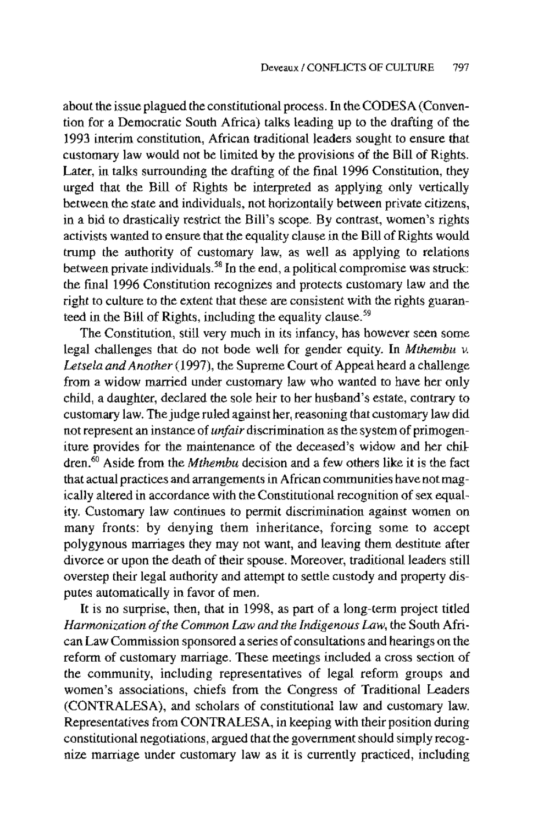about the issue plagued the constitutional process. In the CODESA (Convention for a Democratic South Africa) talks leading up to the drafting of the 1993 interim constitution, African traditional leaders sought to ensure that customary law would not be limited by the provisions of the Bill of Rights. Later, in talks surrounding the drafting of the final 1996 Constitution, they urged that the Bill of Rights be interpreted as applying only vertically between the state and individuals, not horizontally between private citizens, in a bid to drastically restrict the Bill's scope. By contrast, women's rights activists wanted to ensure that the equality clause in the Bill of Rights would trump the authority of customary law, as well as applying to relations between private individuals.<sup>58</sup> In the end, a political compromise was struck: the final 1996 Constitution recognizes and protects customary law and the right to culture to the extent that these are consistent with the rights guaranteed in the Bill of Rights, including the equality clause.<sup>59</sup>

The Constitution, still very much in its infancy, has however seen some legal challenges that do not bode well for gender equity. In Mthembu v. Letsela and Another (1997), the Supreme Court of Appeal heard a challenge from a widow married under customary law who wanted to have her only child, a daughter, declared the sole heir to her husband's estate, contrary to customary law. The judge ruled against her, reasoning that customary law did not represent an instance of *unfair* discrimination as the system of primogeniture provides for the maintenance of the deceased's widow and her children.<sup>60</sup> Aside from the *Mthembu* decision and a few others like it is the fact that actual practices and arrangements in African communities have not magically altered in accordance with the Constitutional recognition of sex equality. Customary law continues to permit discrimination against women on many fronts: by denving them inheritance, forcing some to accept polygynous marriages they may not want, and leaving them destitute after divorce or upon the death of their spouse. Moreover, traditional leaders still overstep their legal authority and attempt to settle custody and property disputes automatically in favor of men.

It is no surprise, then, that in 1998, as part of a long-term project titled Harmonization of the Common Law and the Indigenous Law, the South African Law Commission sponsored a series of consultations and hearings on the reform of customary marriage. These meetings included a cross section of the community, including representatives of legal reform groups and women's associations, chiefs from the Congress of Traditional Leaders (CONTRALESA), and scholars of constitutional law and customary law. Representatives from CONTRALESA, in keeping with their position during constitutional negotiations, argued that the government should simply recognize marriage under customary law as it is currently practiced, including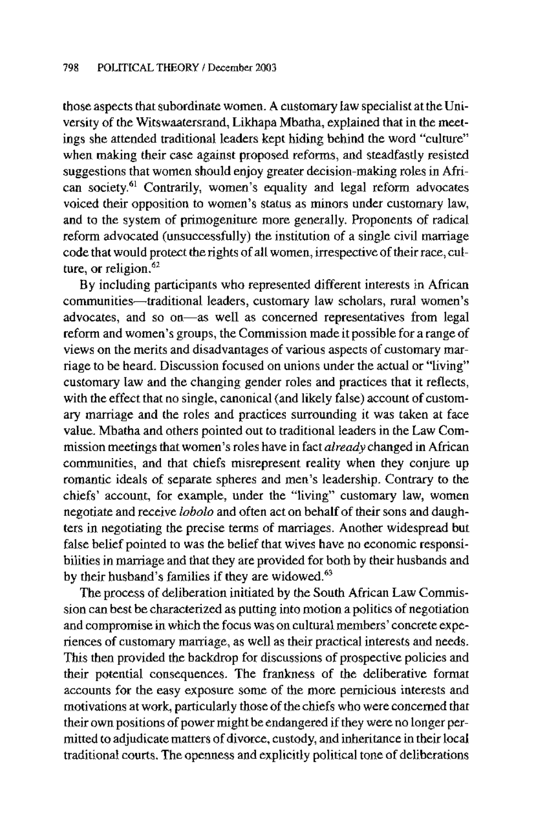those aspects that subordinate women. A customary law specialist at the University of the Witswaatersrand, Likhapa Mbatha, explained that in the meetings she attended traditional leaders kept hiding behind the word "culture" when making their case against proposed reforms, and steadfastly resisted suggestions that women should enjoy greater decision-making roles in African society.<sup>61</sup> Contrarily, women's equality and legal reform advocates voiced their opposition to women's status as minors under customary law, and to the system of primogeniture more generally. Proponents of radical reform advocated (unsuccessfully) the institution of a single civil marriage code that would protect the rights of all women, irrespective of their race, culture, or religion.<sup>62</sup>

By including participants who represented different interests in African communities-traditional leaders, customary law scholars, rural women's advocates, and so on-as well as concerned representatives from legal reform and women's groups, the Commission made it possible for a range of views on the merits and disadvantages of various aspects of customary marriage to be heard. Discussion focused on unions under the actual or "living" customary law and the changing gender roles and practices that it reflects, with the effect that no single, canonical (and likely false) account of customary marriage and the roles and practices surrounding it was taken at face value. Mbatha and others pointed out to traditional leaders in the Law Commission meetings that women's roles have in fact already changed in African communities, and that chiefs misrepresent reality when they conjure up romantic ideals of separate spheres and men's leadership. Contrary to the chiefs' account, for example, under the "living" customary law, women negotiate and receive lobolo and often act on behalf of their sons and daughters in negotiating the precise terms of marriages. Another widespread but false belief pointed to was the belief that wives have no economic responsibilities in marriage and that they are provided for both by their husbands and by their husband's families if they are widowed.<sup>63</sup>

The process of deliberation initiated by the South African Law Commission can best be characterized as putting into motion a politics of negotiation and compromise in which the focus was on cultural members' concrete experiences of customary marriage, as well as their practical interests and needs. This then provided the backdrop for discussions of prospective policies and their potential consequences. The frankness of the deliberative format accounts for the easy exposure some of the more pernicious interests and motivations at work, particularly those of the chiefs who were concerned that their own positions of power might be endangered if they were no longer permitted to adjudicate matters of divorce, custody, and inheritance in their local traditional courts. The openness and explicitly political tone of deliberations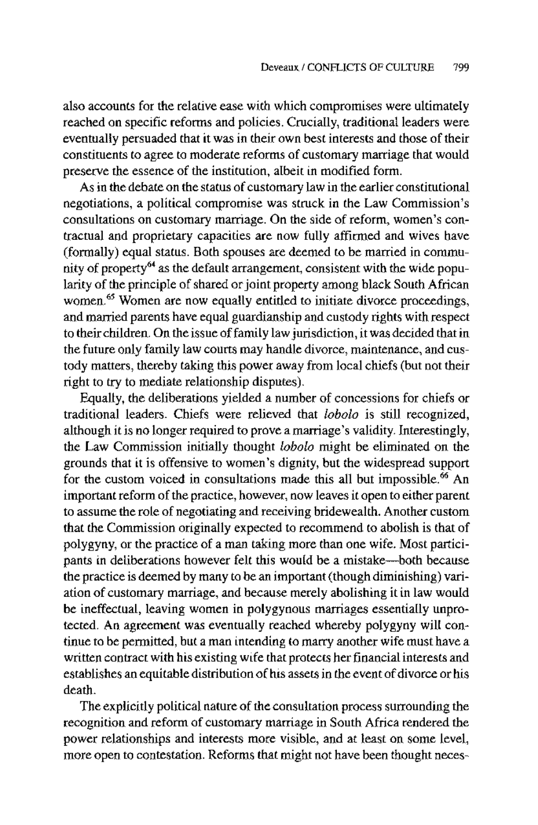also accounts for the relative ease with which compromises were ultimately reached on specific reforms and policies. Crucially, traditional leaders were eventually persuaded that it was in their own best interests and those of their constituents to agree to moderate reforms of customary marriage that would preserve the essence of the institution, albeit in modified form.

As in the debate on the status of customary law in the earlier constitutional negotiations, a political compromise was struck in the Law Commission's consultations on customary marriage. On the side of reform, women's contractual and proprietary capacities are now fully affirmed and wives have (formally) equal status. Both spouses are deemed to be married in community of property<sup>64</sup> as the default arrangement, consistent with the wide popularity of the principle of shared or joint property among black South African women.<sup>65</sup> Women are now equally entitled to initiate divorce proceedings, and married parents have equal guardianship and custody rights with respect to their children. On the issue of family law jurisdiction, it was decided that in the future only family law courts may handle divorce, maintenance, and custody matters, thereby taking this power away from local chiefs (but not their right to try to mediate relationship disputes).

Equally, the deliberations yielded a number of concessions for chiefs or traditional leaders. Chiefs were relieved that lobolo is still recognized, although it is no longer required to prove a marriage's validity. Interestingly, the Law Commission initially thought lobolo might be eliminated on the grounds that it is offensive to women's dignity, but the widespread support for the custom voiced in consultations made this all but impossible.<sup>66</sup> An important reform of the practice, however, now leaves it open to either parent to assume the role of negotiating and receiving bridewealth. Another custom that the Commission originally expected to recommend to abolish is that of polygyny, or the practice of a man taking more than one wife. Most participants in deliberations however felt this would be a mistake—both because the practice is deemed by many to be an important (though diminishing) variation of customary marriage, and because merely abolishing it in law would be ineffectual, leaving women in polygynous marriages essentially unprotected. An agreement was eventually reached whereby polygyny will continue to be permitted, but a man intending to marry another wife must have a written contract with his existing wife that protects her financial interests and establishes an equitable distribution of his assets in the event of divorce or his death.

The explicitly political nature of the consultation process surrounding the recognition and reform of customary marriage in South Africa rendered the power relationships and interests more visible, and at least on some level, more open to contestation. Reforms that might not have been thought neces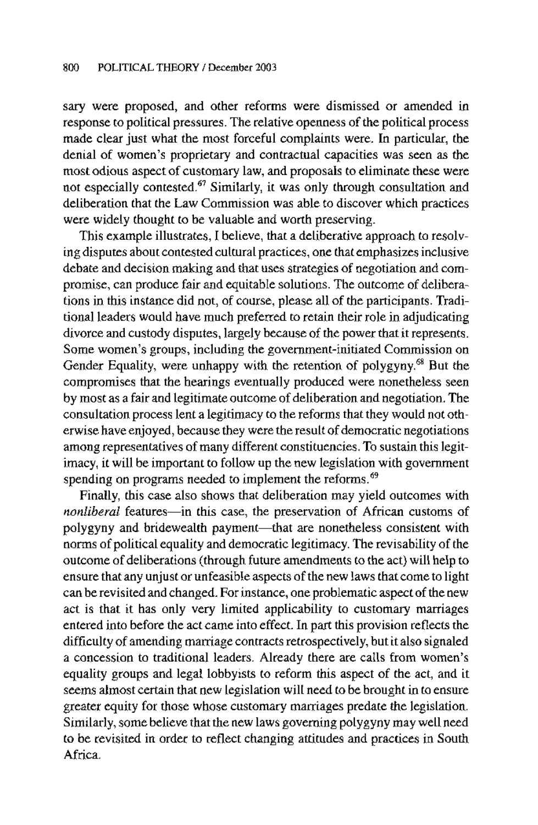sary were proposed, and other reforms were dismissed or amended in response to political pressures. The relative openness of the political process made clear just what the most forceful complaints were. In particular, the denial of women's proprietary and contractual capacities was seen as the most odjous aspect of customary law, and proposals to eliminate these were not especially contested.<sup>67</sup> Similarly, it was only through consultation and deliberation that the Law Commission was able to discover which practices were widely thought to be valuable and worth preserving.

This example illustrates. I believe, that a deliberative approach to resolving disputes about contested cultural practices, one that emphasizes inclusive debate and decision making and that uses strategies of negotiation and compromise, can produce fair and equitable solutions. The outcome of deliberations in this instance did not, of course, please all of the participants. Traditional leaders would have much preferred to retain their role in adjudicating divorce and custody disputes, largely because of the power that it represents. Some women's groups, including the government-initiated Commission on Gender Equality, were unhappy with the retention of polygyny.<sup>68</sup> But the compromises that the hearings eventually produced were nonetheless seen by most as a fair and legitimate outcome of deliberation and negotiation. The consultation process lent a legitimacy to the reforms that they would not otherwise have enjoyed, because they were the result of democratic negotiations among representatives of many different constituencies. To sustain this legitimacy, it will be important to follow up the new legislation with government spending on programs needed to implement the reforms.<sup>69</sup>

Finally, this case also shows that deliberation may yield outcomes with nonliberal features-in this case, the preservation of African customs of polygyny and bridewealth payment—that are nonetheless consistent with norms of political equality and democratic legitimacy. The revisability of the outcome of deliberations (through future amendments to the act) will help to ensure that any unjust or unfeasible aspects of the new laws that come to light can be revisited and changed. For instance, one problematic aspect of the new act is that it has only very limited applicability to customary marriages entered into before the act came into effect. In part this provision reflects the difficulty of amending marriage contracts retrospectively, but it also signaled a concession to traditional leaders. Already there are calls from women's equality groups and legal lobbyists to reform this aspect of the act, and it seems almost certain that new legislation will need to be brought in to ensure greater equity for those whose customary marriages predate the legislation. Similarly, some believe that the new laws governing polygyny may well need to be revisited in order to reflect changing attitudes and practices in South Africa.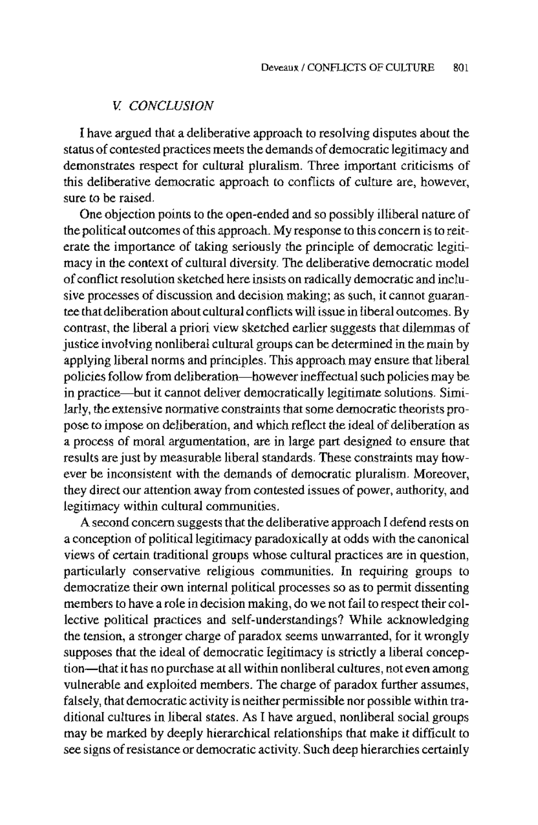### V. CONCLUSION

I have argued that a deliberative approach to resolving disputes about the status of contested practices meets the demands of democratic legitimacy and demonstrates respect for cultural pluralism. Three important criticisms of this deliberative democratic approach to conflicts of culture are, however, sure to be raised.

One objection points to the open-ended and so possibly illiberal nature of the political outcomes of this approach. My response to this concern is to reiterate the importance of taking seriously the principle of democratic legitimacy in the context of cultural diversity. The deliberative democratic model of conflict resolution sketched here insists on radically democratic and inclusive processes of discussion and decision making; as such, it cannot guarantee that deliberation about cultural conflicts will issue in liberal outcomes. By contrast, the liberal a priori view sketched earlier suggests that dilemmas of justice involving nonliberal cultural groups can be determined in the main by applying liberal norms and principles. This approach may ensure that liberal policies follow from deliberation—however ineffectual such policies may be in practice—but it cannot deliver democratically legitimate solutions. Similarly, the extensive normative constraints that some democratic theorists propose to impose on deliberation, and which reflect the ideal of deliberation as a process of moral argumentation, are in large part designed to ensure that results are just by measurable liberal standards. These constraints may however be inconsistent with the demands of democratic pluralism. Moreover, they direct our attention away from contested issues of power, authority, and legitimacy within cultural communities.

A second concern suggests that the deliberative approach I defend rests on a conception of political legitimacy paradoxically at odds with the canonical views of certain traditional groups whose cultural practices are in question, particularly conservative religious communities. In requiring groups to democratize their own internal political processes so as to permit dissenting members to have a role in decision making, do we not fail to respect their collective political practices and self-understandings? While acknowledging the tension, a stronger charge of paradox seems unwarranted, for it wrongly supposes that the ideal of democratic legitimacy is strictly a liberal conception—that it has no purchase at all within nonliberal cultures, not even among vulnerable and exploited members. The charge of paradox further assumes, falsely, that democratic activity is neither permissible nor possible within traditional cultures in liberal states. As I have argued, nonliberal social groups may be marked by deeply hierarchical relationships that make it difficult to see signs of resistance or democratic activity. Such deep hierarchies certainly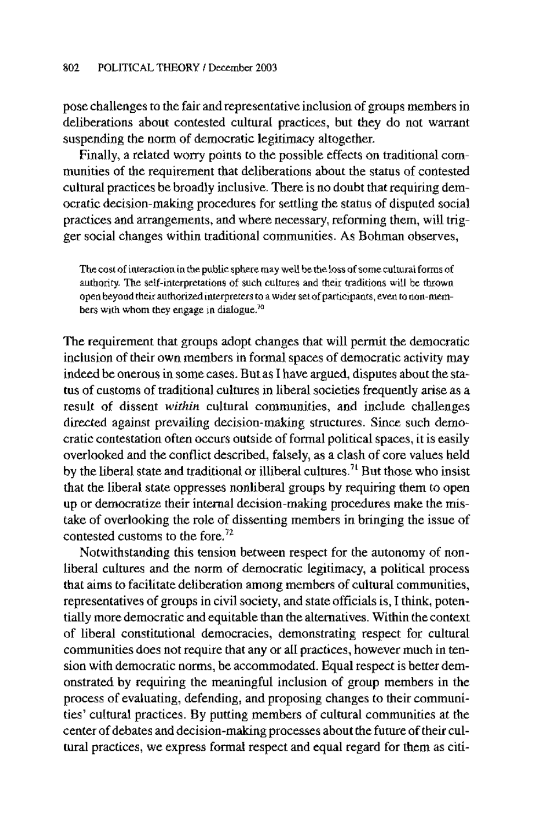pose challenges to the fair and representative inclusion of groups members in deliberations about contested cultural practices, but they do not warrant suspending the norm of democratic legitimacy altogether.

Finally, a related worry points to the possible effects on traditional communities of the requirement that deliberations about the status of contested cultural practices be broadly inclusive. There is no doubt that requiring democratic decision-making procedures for settling the status of disputed social practices and arrangements, and where necessary, reforming them, will trigger social changes within traditional communities. As Bohman observes,

The cost of interaction in the public sphere may well be the loss of some cultural forms of authority. The self-interpretations of such cultures and their traditions will be thrown open beyond their authorized interpreters to a wider set of participants, even to non-members with whom they engage in dialogue.<sup>70</sup>

The requirement that groups adopt changes that will permit the democratic inclusion of their own members in formal spaces of democratic activity may indeed be onerous in some cases. But as I have argued, disputes about the status of customs of traditional cultures in liberal societies frequently arise as a result of dissent within cultural communities, and include challenges directed against prevailing decision-making structures. Since such democratic contestation often occurs outside of formal political spaces, it is easily overlooked and the conflict described, falsely, as a clash of core values held by the liberal state and traditional or illiberal cultures.<sup>71</sup> But those who insist that the liberal state oppresses nonliberal groups by requiring them to open up or democratize their internal decision-making procedures make the mistake of overlooking the role of dissenting members in bringing the issue of contested customs to the fore.<sup>72</sup>

Notwithstanding this tension between respect for the autonomy of nonliberal cultures and the norm of democratic legitimacy, a political process that aims to facilitate deliberation among members of cultural communities, representatives of groups in civil society, and state officials is, I think, potentially more democratic and equitable than the alternatives. Within the context of liberal constitutional democracies, demonstrating respect for cultural communities does not require that any or all practices, however much in tension with democratic norms, be accommodated. Equal respect is better demonstrated by requiring the meaningful inclusion of group members in the process of evaluating, defending, and proposing changes to their communities' cultural practices. By putting members of cultural communities at the center of debates and decision-making processes about the future of their cultural practices, we express formal respect and equal regard for them as citi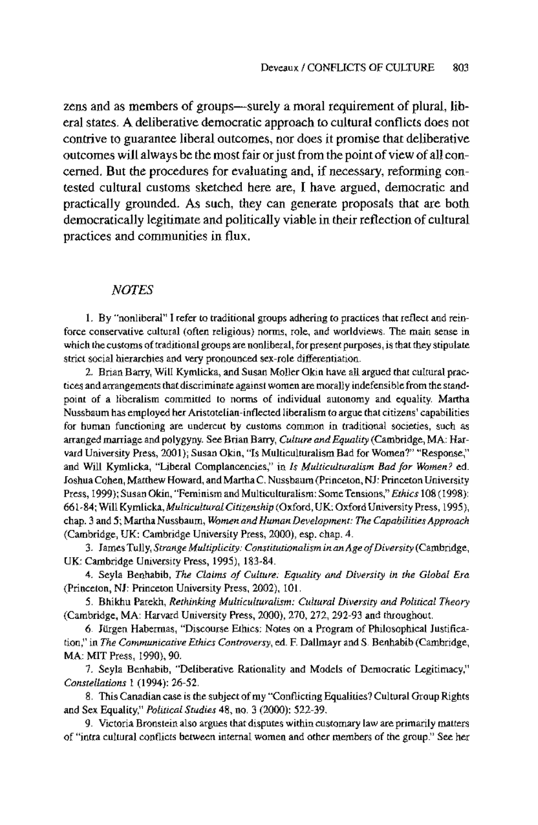zens and as members of groups—surely a moral requirement of plural, liberal states. A deliberative democratic approach to cultural conflicts does not contrive to guarantee liberal outcomes, nor does it promise that deliberative outcomes will always be the most fair or just from the point of view of all concerned. But the procedures for evaluating and, if necessary, reforming contested cultural customs sketched here are, I have argued, democratic and practically grounded. As such, they can generate proposals that are both democratically legitimate and politically viable in their reflection of cultural practices and communities in flux.

#### **NOTES**

1. By "nonliberal" I refer to traditional groups adhering to practices that reflect and reinforce conservative cultural (often religious) norms, role, and worldviews. The main sense in which the customs of traditional groups are nonliberal, for present purposes, is that they stipulate strict social hierarchies and very pronounced sex-role differentiation.

2. Brian Barry, Will Kymlicka, and Susan Moller Okin have all argued that cultural practices and arrangements that discriminate against women are morally indefensible from the standpoint of a liberalism committed to norms of individual autonomy and equality. Martha Nussbaum has employed her Aristotelian-inflected liberalism to argue that citizens' capabilities for human functioning are undercut by customs common in traditional societies, such as arranged marriage and polygyny. See Brian Barry, Culture and Equality (Cambridge, MA: Harvard University Press, 2001); Susan Okin, "Is Multiculturalism Bad for Women?" "Response," and Will Kymlicka, "Liberal Complancencies," in Is Multiculturalism Bad for Women? ed. Joshua Cohen, Matthew Howard, and Martha C. Nussbaum (Princeton, NJ: Princeton University Press, 1999); Susan Okin, "Feminism and Multiculturalism: Some Tensions," Ethics 108 (1998): 661-84; Will Kymlicka, Multicultural Citizenship (Oxford, UK: Oxford University Press, 1995), chap. 3 and 5; Martha Nussbaum, Women and Human Development: The Capabilities Approach (Cambridge, UK: Cambridge University Press, 2000), esp. chap. 4.

3. James Tully, Strange Multiplicity: Constitutionalism in an Age of Diversity (Cambridge, UK: Cambridge University Press, 1995), 183-84.

4. Seyla Benhabib, The Claims of Culture: Equality and Diversity in the Global Era (Princeton, NJ: Princeton University Press, 2002), 101.

5. Bhikhu Patekh, Rethinking Multiculturalism: Cultural Diversity and Political Theory (Cambridge, MA: Harvard University Press, 2000), 270, 272, 292-93 and throughout.

6. Jürgen Habermas, "Discourse Ethics: Notes on a Program of Philosophical Justification," in The Communicative Ethics Controversy, ed. F. Dallmayr and S. Benhabib (Cambridge, MA: MIT Press, 1990), 90.

7. Seyla Benhabib, "Deliberative Rationality and Models of Democratic Legitimacy," Constellations 1 (1994): 26-52.

8. This Canadian case is the subject of my "Conflicting Equalities? Cultural Group Rights and Sex Equality," Political Studies 48, no. 3 (2000): 522-39.

9. Victoria Bronstein also argues that disputes within customary law are primarily matters of "intra cultural conflicts between internal women and other members of the group." See her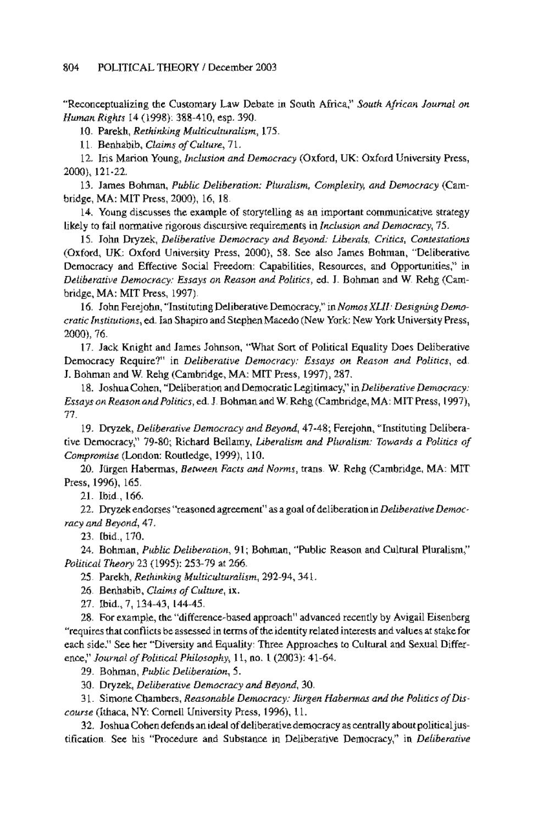"Reconceptualizing the Customary Law Debate in South Africa," South African Journal on Human Rights 14 (1998): 388-410, esp. 390.

10. Parekh, Rethinking Multiculturalism, 175.

11. Benhabib, Claims of Culture, 71.

12. Iris Marion Young, *Inclusion and Democracy* (Oxford, UK: Oxford University Press, 2000), 121-22.

13. James Bohman, Public Deliberation: Pluralism, Complexity, and Democracy (Cambridge, MA: MIT Press, 2000), 16, 18.

14. Young discusses the example of storytelling as an important communicative strategy likely to fail normative rigorous discursive requirements in Inclusion and Democracy, 75.

15. John Dryzek, Deliberative Democracy and Beyond: Liberals, Critics, Contestations (Oxford, UK: Oxford University Press, 2000), 58. See also James Bohman, "Deliberative Democracy and Effective Social Freedom: Capabilities, Resources, and Opportunities," in Deliberative Democracy: Essays on Reason and Politics, ed. J. Bohman and W. Rehg (Cambridge, MA: MIT Press, 1997).

16. John Ferejohn, "Instituting Deliberative Democracy," in Nomos XLII: Designing Democratic Institutions, ed. Ian Shapiro and Stephen Macedo (New York: New York University Press, 2000), 76.

17. Jack Knight and James Johnson, "What Sort of Political Equality Does Deliberative Democracy Require?" in Deliberative Democracy: Essays on Reason and Politics, ed. J. Bohman and W. Rehg (Cambridge, MA: MIT Press, 1997), 287.

18. Joshua Cohen, "Deliberation and Democratic Legitimacy," in Deliberative Democracy: Essays on Reason and Politics, ed. J. Bohman and W. Rehg (Cambridge, MA: MIT Press, 1997), 77.

19. Dryzek, Deliberative Democracy and Beyond, 47-48; Ferejohn, "Instituting Deliberative Democracy," 79-80; Richard Bellamy, Liberalism and Pluralism: Towards a Politics of Compromise (London: Routledge, 1999), 110.

20. Jürgen Habermas, Between Facts and Norms, trans. W. Rehg (Cambridge, MA: MIT Press, 1996), 165.

21. Ibid., 166.

22. Dryzek endorses "reasoned agreement" as a goal of deliberation in Deliberative Democracy and Beyond, 47.

23. Ibid., 170.

24. Bohman, Public Deliberation, 91; Bohman, "Public Reason and Cultural Pluralism," Political Theory 23 (1995): 253-79 at 266.

25. Parekh, Rethinking Multiculturalism, 292-94, 341.

26. Benhabib, Claims of Culture, ix.

27. Ibid., 7, 134-43, 144-45.

28. For example, the "difference-based approach" advanced recently by Avigail Eisenberg "requires that conflicts be assessed in terms of the identity related interests and values at stake for each side." See her "Diversity and Equality: Three Approaches to Cultural and Sexual Difference," Journal of Political Philosophy, 11, no. 1 (2003): 41-64.

29. Bohman, Public Deliberation, 5.

30. Dryzek, Deliberative Democracy and Beyond, 30.

31. Simone Chambers, Reasonable Democracy: Jürgen Habermas and the Politics of Discourse (Ithaca, NY: Cornell University Press, 1996), 11.

32. Joshua Cohen defends an ideal of deliberative democracy as centrally about political justification. See his "Procedure and Substance in Deliberative Democracy," in Deliberative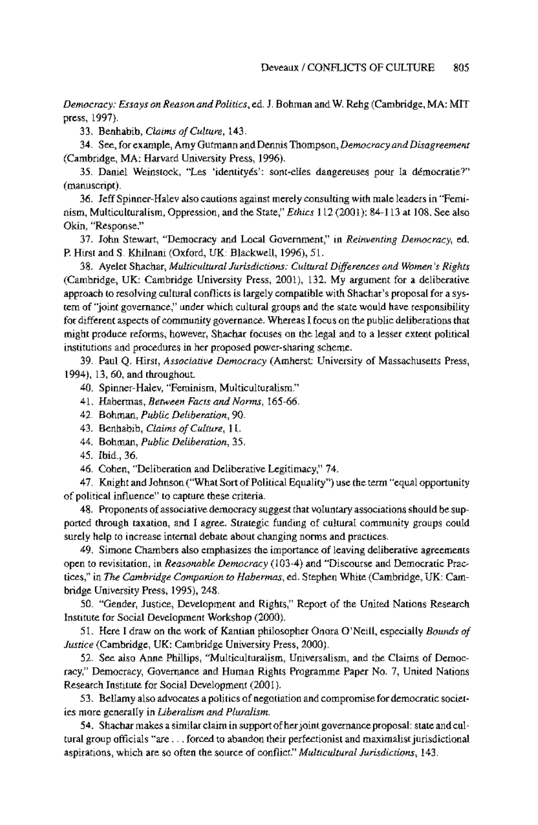Democracy: Essays on Reason and Politics, ed. J. Bohman and W. Rehg (Cambridge, MA: MIT) press, 1997).

33. Benhabib, Claims of Culture, 143.

34. See, for example, Amy Gutmann and Dennis Thompson, Democracy and Disagreement (Cambridge, MA: Harvard University Press, 1996).

35. Daniel Weinstock, "Les 'identityés': sont-elles dangereuses pour la démocratie?" (manuscript).

36. Jeff Spinner-Haley also cautions against merely consulting with male leaders in "Feminism, Multiculturalism, Oppression, and the State," Ethics 112 (2001): 84-113 at 108. See also Okin, "Response."

37. John Stewart, "Democracy and Local Government," in Reinventing Democracy, ed. P. Hirst and S. Khilnani (Oxford, UK: Blackwell, 1996), 51.

38. Ayelet Shachar, Multicultural Jurisdictions: Cultural Differences and Women's Rights (Cambridge, UK: Cambridge University Press, 2001), 132. My argument for a deliberative approach to resolving cultural conflicts is largely compatible with Shachar's proposal for a system of "joint governance," under which cultural groups and the state would have responsibility for different aspects of community governance. Whereas I focus on the public deliberations that might produce reforms, however, Shachar focuses on the legal and to a lesser extent political institutions and procedures in her proposed power-sharing scheme.

39. Paul Q. Hirst, Associative Democracy (Amherst: University of Massachusetts Press, 1994), 13, 60, and throughout.

40. Spinner-Halev, "Feminism, Multiculturalism."

41. Habermas, Between Facts and Norms, 165-66.

42. Bohman, Public Deliberation, 90.

43. Benhabib, Claims of Culture, 11.

44. Bohman, Public Deliberation, 35.

45. Ibid., 36.

46. Cohen, "Deliberation and Deliberative Legitimacy," 74.

47. Knight and Johnson ("What Sort of Political Equality") use the term "equal opportunity of political influence" to capture these criteria.

48. Proponents of associative democracy suggest that voluntary associations should be supported through taxation, and I agree. Strategic funding of cultural community groups could surely help to increase internal debate about changing norms and practices.

49. Simone Chambers also emphasizes the importance of leaving deliberative agreements open to revisitation, in Reasonable Democracy (103-4) and "Discourse and Democratic Practices," in The Cambridge Companion to Habermas, ed. Stephen White (Cambridge, UK: Cambridge University Press, 1995), 248.

50. "Gender, Justice, Development and Rights," Report of the United Nations Research Institute for Social Development Workshop (2000).

51. Here I draw on the work of Kantian philosopher Onora O'Neill, especially Bounds of Justice (Cambridge, UK: Cambridge University Press, 2000).

52. See also Anne Phillips, "Multiculturalism, Universalism, and the Claims of Democracy," Democracy, Governance and Human Rights Programme Paper No. 7, United Nations Research Institute for Social Development (2001).

53. Bellamy also advocates a politics of negotiation and compromise for democratic societies more generally in Liberalism and Pluralism.

54. Shachar makes a similar claim in support of her joint governance proposal: state and cultural group officials "are . . . forced to abandon their perfectionist and maximalist jurisdictional aspirations, which are so often the source of conflict." Multicultural Jurisdictions, 143.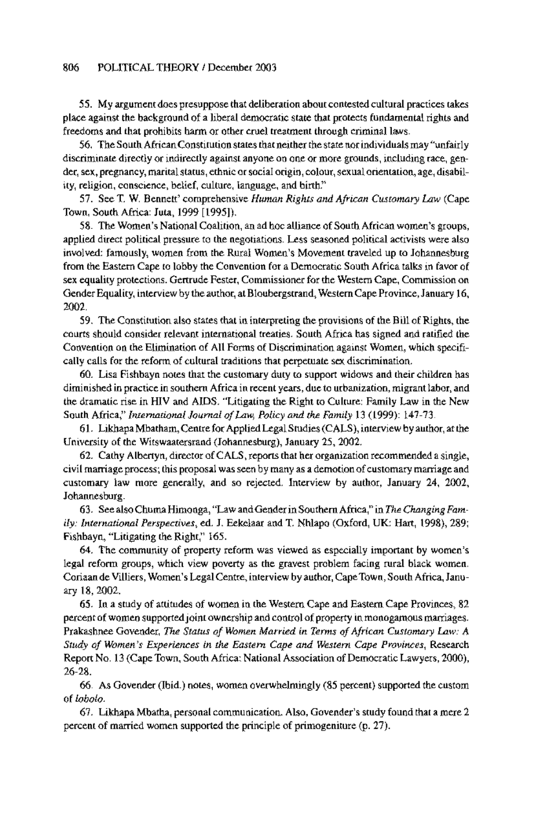#### 806 POLITICAL THEORY / December 2003

55. My argument does presuppose that deliberation about contested cultural practices takes place against the background of a liberal democratic state that protects fundamental rights and freedoms and that prohibits harm or other cruel treatment through criminal laws.

56. The South African Constitution states that neither the state nor individuals may "unfairly discriminate directly or indirectly against anyone on one or more grounds, including race, gender, sex, pregnancy, marital status, ethnic or social origin, colour, sexual orientation, age, disability, religion, conscience, belief, culture, language, and birth."

57. See T. W. Bennett' comprehensive Human Rights and African Customary Law (Cape Town, South Africa: Juta, 1999 [1995]).

58. The Women's National Coalition, an ad hoc alliance of South African women's groups, applied direct political pressure to the negotiations. Less seasoned political activists were also involved: famously, women from the Rural Women's Movement traveled up to Johannesburg from the Eastern Cape to lobby the Convention for a Democratic South Africa talks in favor of sex equality protections. Gertrude Fester, Commissioner for the Western Cape, Commission on Gender Equality, interview by the author, at Bloubergstrand, Western Cape Province, January 16, 2002.

59. The Constitution also states that in interpreting the provisions of the Bill of Rights, the courts should consider relevant international treaties. South Africa has signed and ratified the Convention on the Elimination of All Forms of Discrimination against Women, which specifically calls for the reform of cultural traditions that perpetuate sex discrimination.

60. Lisa Fishbayn notes that the customary duty to support widows and their children has diminished in practice in southern Africa in recent years, due to urbanization, migrant labor, and the dramatic rise in HIV and AIDS. "Litigating the Right to Culture: Family Law in the New South Africa," International Journal of Law, Policy and the Family 13 (1999): 147-73.

61. Likhapa Mbatham, Centre for Applied Legal Studies (CALS), interview by author, at the University of the Witswaatersrand (Johannesburg), January 25, 2002.

62. Cathy Albertyn, director of CALS, reports that her organization recommended a single, civil marriage process; this proposal was seen by many as a demotion of customary marriage and customary law more generally, and so rejected. Interview by author, January 24, 2002, Johannesburg.

63. See also Chuma Himonga, "Law and Gender in Southern Africa," in The Changing Family: International Perspectives, ed. J. Eekelaar and T. Nhlapo (Oxford, UK: Hart, 1998), 289; Fishbayn, "Litigating the Right," 165.

64. The community of property reform was viewed as especially important by women's legal reform groups, which view poverty as the gravest problem facing rural black women. Coriaan de Villiers, Women's Legal Centre, interview by author, Cape Town, South Africa, Januагу 18, 2002.

65. In a study of attitudes of women in the Western Cape and Eastern Cape Provinces, 82 percent of women supported joint ownership and control of property in monogamous marriages. Prakashnee Govender, The Status of Women Married in Terms of African Customary Law: A Study of Women's Experiences in the Eastern Cape and Western Cape Provinces, Research Report No. 13 (Cape Town, South Africa: National Association of Democratic Lawyers, 2000),  $26 - 28$ .

66. As Govender (Ibid.) notes, women overwhelmingly (85 percent) supported the custom of lobolo.

67. Likhapa Mbatha, personal communication. Also, Govender's study found that a mere 2 percent of married women supported the principle of primogeniture (p. 27).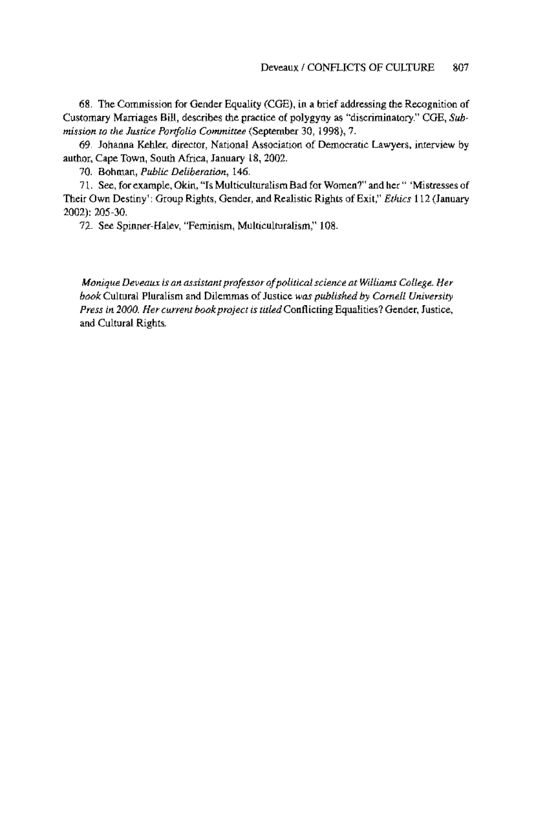68. The Commission for Gender Equality (CGE), in a brief addressing the Recognition of Customary Marriages Bill, describes the practice of polygyny as "discriminatory." CGE, Submission to the Justice Portfolio Committee (September 30, 1998), 7.

69. Johanna Kehler, director, National Association of Democratic Lawyers, interview by author, Cape Town, South Africa, January 18, 2002.

70. Bohman, Public Deliberation, 146.

71. See, for example, Okin, "Is Multiculturalism Bad for Women?" and her " 'Mistresses of Their Own Destiny': Group Rights, Gender, and Realistic Rights of Exit," Ethics 112 (January 2002): 205-30.

72. See Spinner-Halev, "Feminism, Multiculturalism," 108.

Monique Deveaux is an assistant professor of political science at Williams College. Her book Cultural Pluralism and Dilemmas of Justice was published by Cornell University Press in 2000. Her current book project is titled Conflicting Equalities? Gender, Justice, and Cultural Rights.